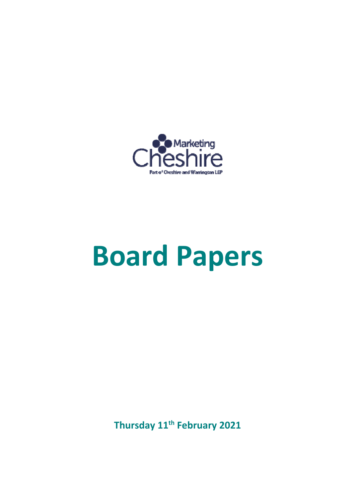

# **Board Papers**

**Thursday 11th February 2021**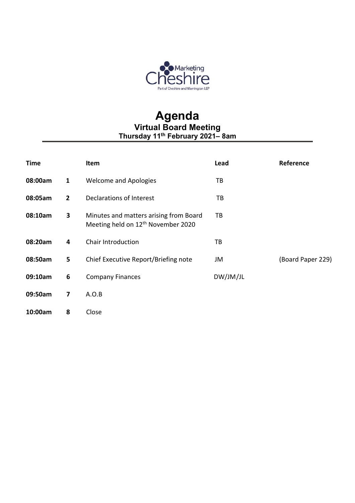

#### **Agenda Virtual Board Meeting Thursday 11th February 2021– 8am**

| <b>Time</b>  |                | Item                                                                                     | Lead     | Reference         |
|--------------|----------------|------------------------------------------------------------------------------------------|----------|-------------------|
| 08:00am      | $\mathbf{1}$   | <b>Welcome and Apologies</b>                                                             | ТB       |                   |
| 08:05am      | $\overline{2}$ | Declarations of Interest                                                                 | TB       |                   |
| 3<br>08:10am |                | Minutes and matters arising from Board<br>Meeting held on 12 <sup>th</sup> November 2020 | ТB       |                   |
| 08:20am      | 4              | Chair Introduction                                                                       | ТB       |                   |
| 08:50am      | 5              | Chief Executive Report/Briefing note                                                     | JM       | (Board Paper 229) |
| 09:10am      | 6              | <b>Company Finances</b>                                                                  | DW/JM/JL |                   |
| 09:50am      | 7              | A.O.B                                                                                    |          |                   |
| 10:00am      | 8              | Close                                                                                    |          |                   |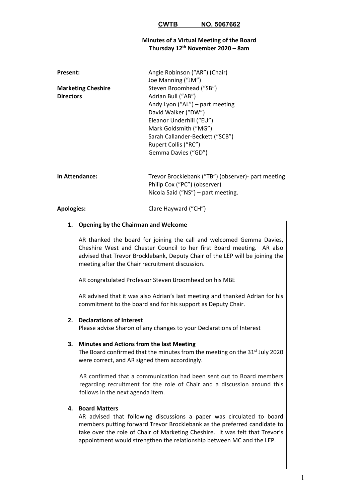#### **CWTB NO. 5067662**

#### **Minutes of a Virtual Meeting of the Board Thursday 12th November 2020 – 8am**

| Angie Robinson ("AR") (Chair)   |  |  |
|---------------------------------|--|--|
| Joe Manning ("JM")              |  |  |
| Steven Broomhead ("SB")         |  |  |
| Adrian Bull ("AB")              |  |  |
| Andy Lyon ("AL") – part meeting |  |  |
| David Walker ("DW")             |  |  |
| Eleanor Underhill ("EU")        |  |  |
| Mark Goldsmith ("MG")           |  |  |
| Sarah Callander-Beckett ("SCB") |  |  |
| Rupert Collis ("RC")            |  |  |
| Gemma Davies ("GD")             |  |  |
|                                 |  |  |
|                                 |  |  |

**In Attendance:**  Trevor Brocklebank ("TB") (observer)‐ part meeting Philip Cox ("PC") (observer) Nicola Said ("NS") – part meeting.

#### Apologies: Clare Hayward ("CH")

#### **1. Opening by the Chairman and Welcome**

AR thanked the board for joining the call and welcomed Gemma Davies, Cheshire West and Chester Council to her first Board meeting. AR also advised that Trevor Brocklebank, Deputy Chair of the LEP will be joining the meeting after the Chair recruitment discussion.

AR congratulated Professor Steven Broomhead on his MBE

AR advised that it was also Adrian's last meeting and thanked Adrian for his commitment to the board and for his support as Deputy Chair.

#### **2. Declarations of Interest**

Please advise Sharon of any changes to your Declarations of Interest

#### **3. Minutes and Actions from the last Meeting**

The Board confirmed that the minutes from the meeting on the 31<sup>st</sup> July 2020 were correct, and AR signed them accordingly.

AR confirmed that a communication had been sent out to Board members regarding recruitment for the role of Chair and a discussion around this follows in the next agenda item.

#### **4. Board Matters**

AR advised that following discussions a paper was circulated to board members putting forward Trevor Brocklebank as the preferred candidate to take over the role of Chair of Marketing Cheshire. It was felt that Trevor's appointment would strengthen the relationship between MC and the LEP.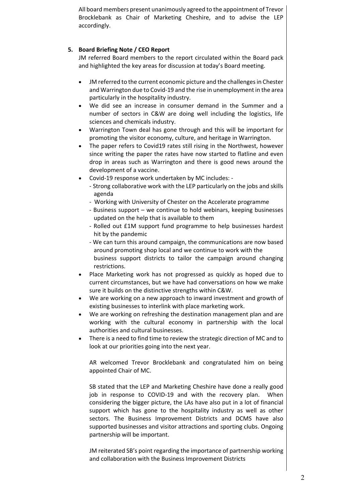All board members present unanimously agreed to the appointment of Trevor Brocklebank as Chair of Marketing Cheshire, and to advise the LEP accordingly.

#### **5. Board Briefing Note / CEO Report**

JM referred Board members to the report circulated within the Board pack and highlighted the key areas for discussion at today's Board meeting.

- JM referred to the current economic picture and the challenges in Chester and Warrington due to Covid‐19 and the rise in unemployment in the area particularly in the hospitality industry.
- We did see an increase in consumer demand in the Summer and a number of sectors in C&W are doing well including the logistics, life sciences and chemicals industry.
- Warrington Town deal has gone through and this will be important for promoting the visitor economy, culture, and heritage in Warrington.
- The paper refers to Covid19 rates still rising in the Northwest, however since writing the paper the rates have now started to flatline and even drop in areas such as Warrington and there is good news around the development of a vaccine.
- Covid‐19 response work undertaken by MC includes: ‐
	- ‐ Strong collaborative work with the LEP particularly on the jobs and skills agenda
	- ‐ Working with University of Chester on the Accelerate programme
	- ‐ Business support we continue to hold webinars, keeping businesses updated on the help that is available to them
	- ‐ Rolled out £1M support fund programme to help businesses hardest hit by the pandemic
	- ‐ We can turn this around campaign, the communications are now based around promoting shop local and we continue to work with the business support districts to tailor the campaign around changing restrictions.
- Place Marketing work has not progressed as quickly as hoped due to current circumstances, but we have had conversations on how we make sure it builds on the distinctive strengths within C&W.
- We are working on a new approach to inward investment and growth of existing businesses to interlink with place marketing work.
- We are working on refreshing the destination management plan and are working with the cultural economy in partnership with the local authorities and cultural businesses.
- There is a need to find time to review the strategic direction of MC and to look at our priorities going into the next year.

AR welcomed Trevor Brocklebank and congratulated him on being appointed Chair of MC.

SB stated that the LEP and Marketing Cheshire have done a really good job in response to COVID-19 and with the recovery plan. When considering the bigger picture, the LAs have also put in a lot of financial support which has gone to the hospitality industry as well as other sectors. The Business Improvement Districts and DCMS have also supported businesses and visitor attractions and sporting clubs. Ongoing partnership will be important.

JM reiterated SB's point regarding the importance of partnership working and collaboration with the Business Improvement Districts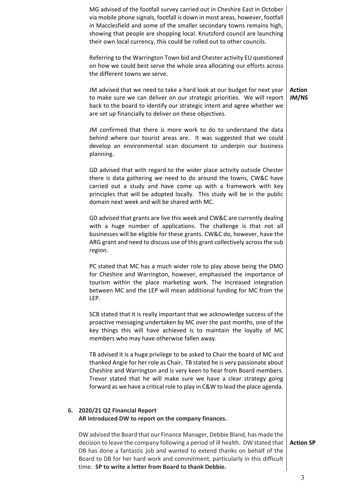|    | MG advised of the footfall survey carried out in Cheshire East in October<br>via mobile phone signals, footfall is down in most areas, however, footfall<br>in Macclesfield and some of the smaller secondary towns remains high,<br>showing that people are shopping local. Knutsford council are launching<br>their own local currency, this could be rolled out to other councils.  |                        |
|----|----------------------------------------------------------------------------------------------------------------------------------------------------------------------------------------------------------------------------------------------------------------------------------------------------------------------------------------------------------------------------------------|------------------------|
|    | Referring to the Warrington Town bid and Chester activity EU questioned<br>on how we could best serve the whole area allocating our efforts across<br>the different towns we serve.                                                                                                                                                                                                    |                        |
|    | JM advised that we need to take a hard look at our budget for next year<br>to make sure we can deliver on our strategic priorities. We will report<br>back to the board to identify our strategic intent and agree whether we<br>are set up financially to deliver on these objectives.                                                                                                | <b>Action</b><br>JM/NS |
|    | JM confirmed that there is more work to do to understand the data<br>behind where our tourist areas are. It was suggested that we could<br>develop an environmental scan document to underpin our business<br>planning.                                                                                                                                                                |                        |
|    | GD advised that with regard to the wider place activity outside Chester<br>there is data gathering we need to do around the towns, CW&C have<br>carried out a study and have come up with a framework with key<br>principles that will be adopted locally. This study will be in the public<br>domain next week and will be shared with MC.                                            |                        |
|    | GD advised that grants are live this week and CW&C are currently dealing<br>with a huge number of applications. The challenge is that not all<br>businesses will be eligible for these grants. CW&C do, however, have the<br>ARG grant and need to discuss use of this grant collectively across the sub<br>region.                                                                    |                        |
|    | PC stated that MC has a much wider role to play above being the DMO<br>for Cheshire and Warrington, however, emphasised the importance of<br>tourism within the place marketing work. The Increased integration<br>between MC and the LEP will mean additional funding for MC from the<br>LEP.                                                                                         |                        |
|    | SCB stated that it is really important that we acknowledge success of the<br>proactive messaging undertaken by MC over the past months, one of the<br>key things this will have achieved is to maintain the loyalty of MC<br>members who may have otherwise fallen away.                                                                                                               |                        |
|    | TB advised it is a huge privilege to be asked to Chair the board of MC and<br>thanked Angie for her role as Chair. TB stated he is very passionate about<br>Cheshire and Warrington and is very keen to hear from Board members.<br>Trevor stated that he will make sure we have a clear strategy going<br>forward as we have a critical role to play in C&W to lead the place agenda. |                        |
| 6. | 2020/21 Q2 Financial Report<br>AR introduced DW to report on the company finances.                                                                                                                                                                                                                                                                                                     |                        |
|    | DW advised the Board that our Finance Manager, Debbie Bland, has made the<br>decision to leave the company following a period of ill health. DW stated that<br>DB has done a fantastic job and wanted to extend thanks on behalf of the<br>Board to DB for her hard work and commitment, particularly in this difficult<br>time. SP to write a letter from Board to thank Debbie.      | <b>Action SP</b>       |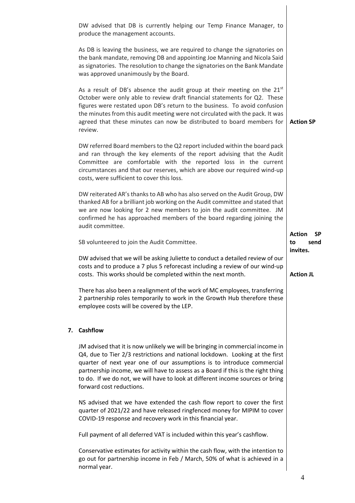|    | DW advised that DB is currently helping our Temp Finance Manager, to<br>produce the management accounts.                                                                                                                                                                                                                                                                                                                                   |                  |  |  |  |  |
|----|--------------------------------------------------------------------------------------------------------------------------------------------------------------------------------------------------------------------------------------------------------------------------------------------------------------------------------------------------------------------------------------------------------------------------------------------|------------------|--|--|--|--|
|    | As DB is leaving the business, we are required to change the signatories on<br>the bank mandate, removing DB and appointing Joe Manning and Nicola Said<br>as signatories. The resolution to change the signatories on the Bank Mandate<br>was approved unanimously by the Board.                                                                                                                                                          |                  |  |  |  |  |
|    | As a result of DB's absence the audit group at their meeting on the $21^{st}$<br>October were only able to review draft financial statements for Q2. These<br>figures were restated upon DB's return to the business. To avoid confusion<br>the minutes from this audit meeting were not circulated with the pack. It was<br>agreed that these minutes can now be distributed to board members for<br>review.                              | <b>Action SP</b> |  |  |  |  |
|    | DW referred Board members to the Q2 report included within the board pack<br>and ran through the key elements of the report advising that the Audit<br>Committee are comfortable with the reported loss in the current<br>circumstances and that our reserves, which are above our required wind-up<br>costs, were sufficient to cover this loss.                                                                                          |                  |  |  |  |  |
|    | DW reiterated AR's thanks to AB who has also served on the Audit Group, DW<br>thanked AB for a brilliant job working on the Audit committee and stated that<br>we are now looking for 2 new members to join the audit committee. JM<br>confirmed he has approached members of the board regarding joining the<br>audit committee.                                                                                                          |                  |  |  |  |  |
|    | SB volunteered to join the Audit Committee.                                                                                                                                                                                                                                                                                                                                                                                                |                  |  |  |  |  |
|    | DW advised that we will be asking Juliette to conduct a detailed review of our<br>costs and to produce a 7 plus 5 reforecast including a review of our wind-up<br>costs. This works should be completed within the next month.                                                                                                                                                                                                             |                  |  |  |  |  |
|    | There has also been a realignment of the work of MC employees, transferring<br>2 partnership roles temporarily to work in the Growth Hub therefore these<br>employee costs will be covered by the LEP.                                                                                                                                                                                                                                     |                  |  |  |  |  |
| 7. | <b>Cashflow</b>                                                                                                                                                                                                                                                                                                                                                                                                                            |                  |  |  |  |  |
|    | JM advised that it is now unlikely we will be bringing in commercial income in<br>Q4, due to Tier 2/3 restrictions and national lockdown. Looking at the first<br>quarter of next year one of our assumptions is to introduce commercial<br>partnership income, we will have to assess as a Board if this is the right thing<br>to do. If we do not, we will have to look at different income sources or bring<br>forward cost reductions. |                  |  |  |  |  |
|    | NS advised that we have extended the cash flow report to cover the first<br>quarter of 2021/22 and have released ringfenced money for MIPIM to cover<br>COVID-19 response and recovery work in this financial year.                                                                                                                                                                                                                        |                  |  |  |  |  |
|    | Full payment of all deferred VAT is included within this year's cashflow.                                                                                                                                                                                                                                                                                                                                                                  |                  |  |  |  |  |
|    | Conservative estimates for activity within the cash flow, with the intention to<br>go out for partnership income in Feb / March, 50% of what is achieved in a<br>normal year.                                                                                                                                                                                                                                                              |                  |  |  |  |  |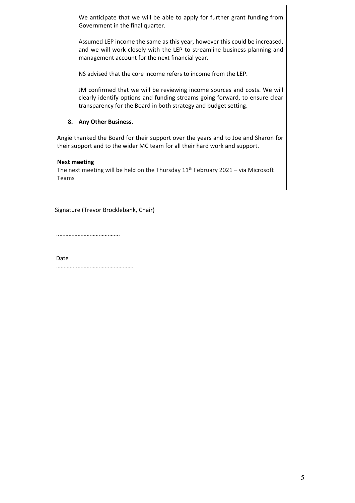We anticipate that we will be able to apply for further grant funding from Government in the final quarter.

Assumed LEP income the same as this year, however this could be increased, and we will work closely with the LEP to streamline business planning and management account for the next financial year.

NS advised that the core income refers to income from the LEP.

JM confirmed that we will be reviewing income sources and costs. We will clearly identify options and funding streams going forward, to ensure clear transparency for the Board in both strategy and budget setting.

#### **8. Any Other Business.**

Angie thanked the Board for their support over the years and to Joe and Sharon for their support and to the wider MC team for all their hard work and support.

#### **Next meeting**

The next meeting will be held on the Thursday  $11<sup>th</sup>$  February 2021 – via Microsoft Teams

Signature (Trevor Brocklebank, Chair)

..………………………………….

Date

…………..……………………………….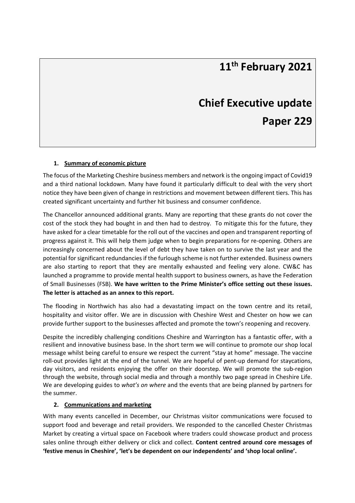### **11th February 2021**

### **Chief Executive update Paper 229**

#### **1. Summary of economic picture**

The focus of the Marketing Cheshire business members and network is the ongoing impact of Covid19 and a third national lockdown. Many have found it particularly difficult to deal with the very short notice they have been given of change in restrictions and movement between different tiers. This has created significant uncertainty and further hit business and consumer confidence.

The Chancellor announced additional grants. Many are reporting that these grants do not cover the cost of the stock they had bought in and then had to destroy. To mitigate this for the future, they have asked for a clear timetable for the roll out of the vaccines and open and transparent reporting of progress against it. This will help them judge when to begin preparations for re‐opening. Others are increasingly concerned about the level of debt they have taken on to survive the last year and the potential for significant redundancies if the furlough scheme is not further extended. Business owners are also starting to report that they are mentally exhausted and feeling very alone. CW&C has launched a programme to provide mental health support to business owners, as have the Federation of Small Businesses (FSB). **We have written to the Prime Minister's office setting out these issues. The letter is attached as an annex to this report.**

The flooding in Northwich has also had a devastating impact on the town centre and its retail, hospitality and visitor offer. We are in discussion with Cheshire West and Chester on how we can provide further support to the businesses affected and promote the town's reopening and recovery.

Despite the incredibly challenging conditions Cheshire and Warrington has a fantastic offer, with a resilient and innovative business base. In the short term we will continue to promote our shop local message whilst being careful to ensure we respect the current "stay at home" message. The vaccine roll-out provides light at the end of the tunnel. We are hopeful of pent-up demand for staycations, day visitors, and residents enjoying the offer on their doorstep. We will promote the sub-region through the website, through social media and through a monthly two page spread in Cheshire Life. We are developing guides to *what's on where* and the events that are being planned by partners for the summer.

#### **2. Communications and marketing**

With many events cancelled in December, our Christmas visitor communications were focused to support food and beverage and retail providers. We responded to the cancelled Chester Christmas Market by creating a virtual space on Facebook where traders could showcase product and process sales online through either delivery or click and collect. **Content centred around core messages of 'festive menus in Cheshire', 'let's be dependent on our independents' and 'shop local online'.**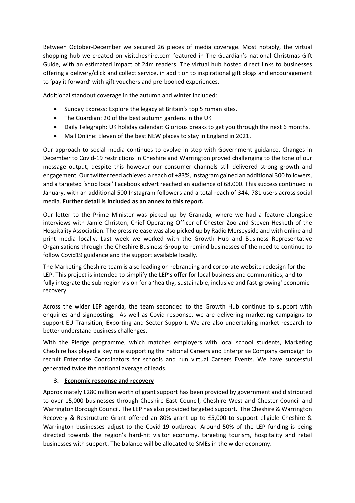Between October-December we secured 26 pieces of media coverage. Most notably, the virtual shopping hub we created on visitcheshire.com featured in The Guardian's national Christmas Gift Guide, with an estimated impact of 24m readers. The virtual hub hosted direct links to businesses offering a delivery/click and collect service, in addition to inspirational gift blogs and encouragement to 'pay it forward' with gift vouchers and pre‐booked experiences.

Additional standout coverage in the autumn and winter included:

- Sunday Express: Explore the legacy at Britain's top 5 roman sites.
- The Guardian: 20 of the best autumn gardens in the UK
- Daily Telegraph: UK holiday calendar: Glorious breaks to get you through the next 6 months.
- Mail Online: Eleven of the best NEW places to stay in England in 2021.

Our approach to social media continues to evolve in step with Government guidance. Changes in December to Covid‐19 restrictions in Cheshire and Warrington proved challenging to the tone of our message output, despite this however our consumer channels still delivered strong growth and engagement. Our twitter feed achieved a reach of +83%, Instagram gained an additional 300 followers, and a targeted 'shop local' Facebook advert reached an audience of 68,000. This success continued in January, with an additional 500 Instagram followers and a total reach of 344, 781 users across social media. **Further detail is included as an annex to this report.** 

Our letter to the Prime Minister was picked up by Granada, where we had a feature alongside interviews with Jamie Christon, Chief Operating Officer of Chester Zoo and Steven Hesketh of the Hospitality Association. The press release was also picked up by Radio Merseyside and with online and print media locally. Last week we worked with the Growth Hub and Business Representative Organisations through the Cheshire Business Group to remind businesses of the need to continue to follow Covid19 guidance and the support available locally.

The Marketing Cheshire team is also leading on rebranding and corporate website redesign for the LEP. This project is intended to simplify the LEP's offer for local business and communities, and to fully integrate the sub‐region vision for a 'healthy, sustainable, inclusive and fast‐growing' economic recovery.

Across the wider LEP agenda, the team seconded to the Growth Hub continue to support with enquiries and signposting. As well as Covid response, we are delivering marketing campaigns to support EU Transition, Exporting and Sector Support. We are also undertaking market research to better understand business challenges.

With the Pledge programme, which matches employers with local school students, Marketing Cheshire has played a key role supporting the national Careers and Enterprise Company campaign to recruit Enterprise Coordinators for schools and run virtual Careers Events. We have successful generated twice the national average of leads.

#### **3. Economic response and recovery**

Approximately £280 million worth of grant support has been provided by government and distributed to over 15,000 businesses through Cheshire East Council, Cheshire West and Chester Council and Warrington Borough Council. The LEP has also provided targeted support. The Cheshire & Warrington Recovery & Restructure Grant offered an 80% grant up to £5,000 to support eligible Cheshire & Warrington businesses adjust to the Covid-19 outbreak. Around 50% of the LEP funding is being directed towards the region's hard-hit visitor economy, targeting tourism, hospitality and retail businesses with support. The balance will be allocated to SMEs in the wider economy.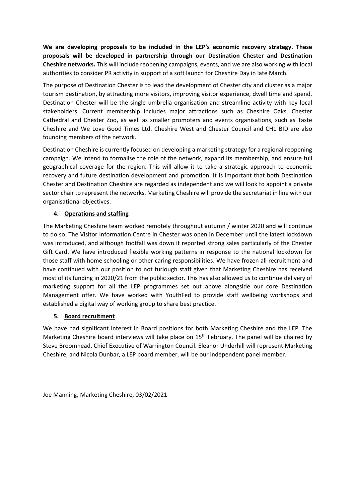**We are developing proposals to be included in the LEP's economic recovery strategy. These proposals will be developed in partnership through our Destination Chester and Destination Cheshire networks.** This will include reopening campaigns, events, and we are also working with local authorities to consider PR activity in support of a soft launch for Cheshire Day in late March.

The purpose of Destination Chester is to lead the development of Chester city and cluster as a major tourism destination, by attracting more visitors, improving visitor experience, dwell time and spend. Destination Chester will be the single umbrella organisation and streamline activity with key local stakeholders. Current membership includes major attractions such as Cheshire Oaks, Chester Cathedral and Chester Zoo, as well as smaller promoters and events organisations, such as Taste Cheshire and We Love Good Times Ltd. Cheshire West and Chester Council and CH1 BID are also founding members of the network.

Destination Cheshire is currently focused on developing a marketing strategy for a regional reopening campaign. We intend to formalise the role of the network, expand its membership, and ensure full geographical coverage for the region. This will allow it to take a strategic approach to economic recovery and future destination development and promotion. It is important that both Destination Chester and Destination Cheshire are regarded as independent and we will look to appoint a private sector chair to represent the networks. Marketing Cheshire will provide the secretariat in line with our organisational objectives.

#### **4. Operations and staffing**

The Marketing Cheshire team worked remotely throughout autumn / winter 2020 and will continue to do so. The Visitor Information Centre in Chester was open in December until the latest lockdown was introduced, and although footfall was down it reported strong sales particularly of the Chester Gift Card. We have introduced flexible working patterns in response to the national lockdown for those staff with home schooling or other caring responsibilities. We have frozen all recruitment and have continued with our position to not furlough staff given that Marketing Cheshire has received most of its funding in 2020/21 from the public sector. This has also allowed us to continue delivery of marketing support for all the LEP programmes set out above alongside our core Destination Management offer. We have worked with YouthFed to provide staff wellbeing workshops and established a digital way of working group to share best practice.

#### **5. Board recruitment**

We have had significant interest in Board positions for both Marketing Cheshire and the LEP. The Marketing Cheshire board interviews will take place on 15<sup>th</sup> February. The panel will be chaired by Steve Broomhead, Chief Executive of Warrington Council. Eleanor Underhill will represent Marketing Cheshire, and Nicola Dunbar, a LEP board member, will be our independent panel member.

Joe Manning, Marketing Cheshire, 03/02/2021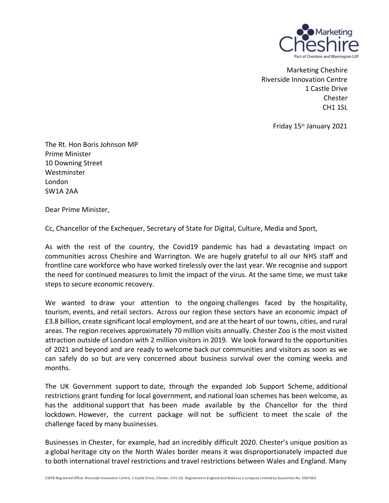

Marketing Cheshire Riverside Innovation Centre 1 Castle Drive Chester CH1 1SL

Friday 15th January 2021

The Rt. Hon Boris Johnson MP Prime Minister 10 Downing Street **Westminster** London SW1A 2AA

Dear Prime Minister,

Cc, Chancellor of the Exchequer, Secretary of State for Digital, Culture, Media and Sport,

As with the rest of the country, the Covid19 pandemic has had a devastating impact on communities across Cheshire and Warrington. We are hugely grateful to all our NHS staff and frontline care workforce who have worked tirelessly over the last year. We recognise and support the need for continued measures to limit the impact of the virus. At the same time, we must take steps to secure economic recovery.

We wanted to draw your attention to the ongoing challenges faced by the hospitality, tourism, events, and retail sectors. Across our region these sectors have an economic impact of £3.8 billion, create significant local employment, and are at the heart of our towns, cities, and rural areas. The region receives approximately 70 million visits annually. Chester Zoo is the most visited attraction outside of London with 2 million visitors in 2019. We look forward to the opportunities of 2021 and beyond and are ready to welcome back our communities and visitors as soon as we can safely do so but are very concerned about business survival over the coming weeks and months.

The UK Government support to date, through the expanded Job Support Scheme, additional restrictions grant funding for local government, and national loan schemes has been welcome, as has the additional support that has been made available by the Chancellor for the third lockdown. However, the current package will not be sufficient to meet the scale of the challenge faced by many businesses.

Businesses in Chester, for example, had an incredibly difficult 2020. Chester's unique position as a global heritage city on the North Wales border means it was disproportionately impacted due to both international travel restrictions and travel restrictions between Wales and England. Many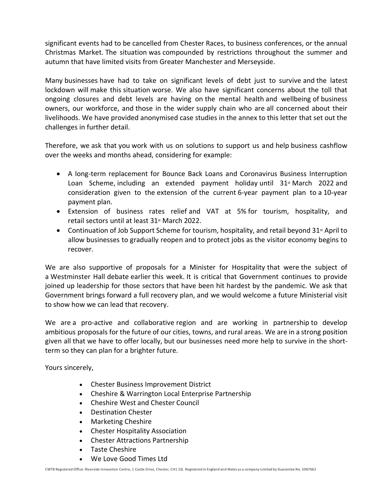significant events had to be cancelled from Chester Races, to business conferences, or the annual Christmas Market. The situation was compounded by restrictions throughout the summer and autumn that have limited visits from Greater Manchester and Merseyside.

Many businesses have had to take on significant levels of debt just to survive and the latest lockdown will make this situation worse. We also have significant concerns about the toll that ongoing closures and debt levels are having on the mental health and wellbeing of business owners, our workforce, and those in the wider supply chain who are all concerned about their livelihoods. We have provided anonymised case studies in the annex to this letter that set out the challenges in further detail.

Therefore, we ask that you work with us on solutions to support us and help business cashflow over the weeks and months ahead, considering for example:

- A long-term replacement for Bounce Back Loans and Coronavirus Business Interruption Loan Scheme, including an extended payment holiday until  $31<sup>st</sup>$  March 2022 and consideration given to the extension of the current 6-year payment plan to a 10-year payment plan.
- Extension of business rates relief and VAT at 5% for tourism, hospitality, and retail sectors until at least 31<sup>st</sup> March 2022.
- Continuation of Job Support Scheme for tourism, hospitality, and retail beyond  $31<sup>st</sup>$  April to allow businesses to gradually reopen and to protect jobs as the visitor economy begins to recover.

We are also supportive of proposals for a Minister for Hospitality that were the subject of a Westminster Hall debate earlier this week. It is critical that Government continues to provide joined up leadership for those sectors that have been hit hardest by the pandemic. We ask that Government brings forward a full recovery plan, and we would welcome a future Ministerial visit to show how we can lead that recovery.

We are a pro-active and collaborative region and are working in partnership to develop ambitious proposals for the future of our cities, towns, and rural areas. We are in a strong position given all that we have to offer locally, but our businesses need more help to survive in the shortterm so they can plan for a brighter future.

Yours sincerely,

- Chester Business Improvement District
- Cheshire & Warrington Local Enterprise Partnership
- Cheshire West and Chester Council
- Destination Chester
- Marketing Cheshire
- Chester Hospitality Association
- Chester Attractions Partnership
- Taste Cheshire
- We Love Good Times Ltd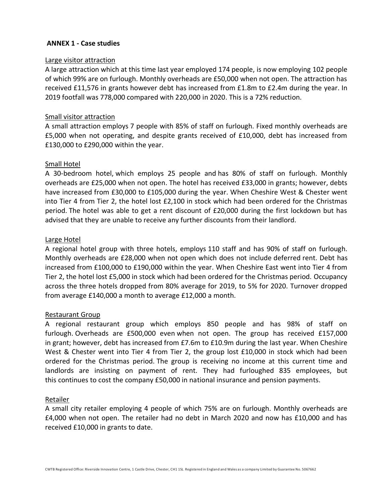#### **ANNEX 1 - Case studies**

#### Large visitor attraction

A large attraction which at this time last year employed 174 people, is now employing 102 people of which 99% are on furlough. Monthly overheads are £50,000 when not open. The attraction has received £11,576 in grants however debt has increased from £1.8m to £2.4m during the year. In 2019 footfall was 778,000 compared with 220,000 in 2020. This is a 72% reduction.

#### Small visitor attraction

A small attraction employs 7 people with 85% of staff on furlough. Fixed monthly overheads are £5,000 when not operating, and despite grants received of £10,000, debt has increased from £130,000 to £290,000 within the year.

#### Small Hotel

A 30-bedroom hotel, which employs 25 people and has 80% of staff on furlough. Monthly overheads are £25,000 when not open. The hotel has received £33,000 in grants; however, debts have increased from £30,000 to £105,000 during the year. When Cheshire West & Chester went into Tier 4 from Tier 2, the hotel lost £2,100 in stock which had been ordered for the Christmas period. The hotel was able to get a rent discount of £20,000 during the first lockdown but has advised that they are unable to receive any further discounts from their landlord.

#### Large Hotel

A regional hotel group with three hotels, employs 110 staff and has 90% of staff on furlough. Monthly overheads are £28,000 when not open which does not include deferred rent. Debt has increased from £100,000 to £190,000 within the year. When Cheshire East went into Tier 4 from Tier 2, the hotel lost £5,000 in stock which had been ordered for the Christmas period. Occupancy across the three hotels dropped from 80% average for 2019, to 5% for 2020. Turnover dropped from average £140,000 a month to average £12,000 a month.

#### Restaurant Group

A regional restaurant group which employs 850 people and has 98% of staff on furlough. Overheads are £500,000 even when not open. The group has received £157,000 in grant; however, debt has increased from £7.6m to £10.9m during the last year. When Cheshire West & Chester went into Tier 4 from Tier 2, the group lost £10,000 in stock which had been ordered for the Christmas period. The group is receiving no income at this current time and landlords are insisting on payment of rent. They had furloughed 835 employees, but this continues to cost the company £50,000 in national insurance and pension payments.

#### Retailer

A small city retailer employing 4 people of which 75% are on furlough. Monthly overheads are £4,000 when not open. The retailer had no debt in March 2020 and now has £10,000 and has received £10,000 in grants to date.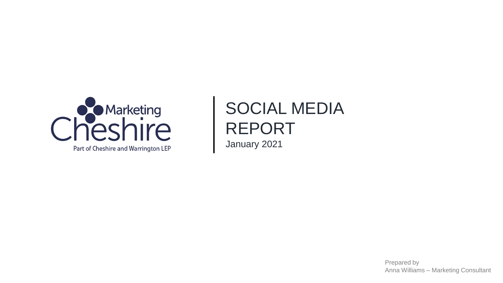

# SOCIAL MEDIA REPORT January 2021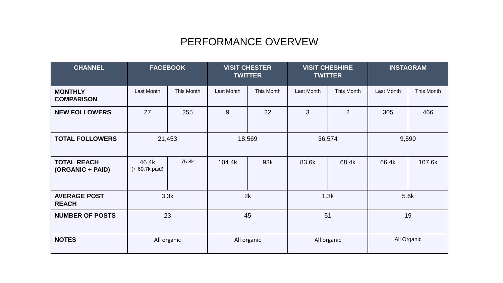### PERFORMANCE OVERVEW

| <b>CHANNEL</b>                         | <b>FACEBOOK</b>           |            | <b>VISIT CHESTER</b><br><b>TWITTER</b> |             | <b>VISIT CHESHIRE</b><br><b>TWITTER</b> |                | <b>INSTAGRAM</b> |            |
|----------------------------------------|---------------------------|------------|----------------------------------------|-------------|-----------------------------------------|----------------|------------------|------------|
| <b>MONTHLY</b><br><b>COMPARISON</b>    | Last Month                | This Month | Last Month                             | This Month  | Last Month                              | This Month     | Last Month       | This Month |
| <b>NEW FOLLOWERS</b>                   | 27                        | 255        | 9                                      | 22          | 3                                       | $\overline{2}$ | 305              | 466        |
| <b>TOTAL FOLLOWERS</b>                 | 21,453                    |            | 18,569                                 |             | 36,574                                  |                | 9,590            |            |
| <b>TOTAL REACH</b><br>(ORGANIC + PAID) | 46.4k<br>$(+ 60.7k$ paid) | 75.8k      | 104.4k                                 | 93k         | 83.6k                                   | 68.4k          | 66.4k            | 107.6k     |
| <b>AVERAGE POST</b><br><b>REACH</b>    | 3.3k                      |            | 2k                                     |             | 1.3k                                    |                | 5.6k             |            |
| <b>NUMBER OF POSTS</b>                 | 23                        |            |                                        | 45          | 51                                      |                | 19               |            |
| <b>NOTES</b>                           | All organic               |            |                                        | All organic | All organic                             |                | All Organic      |            |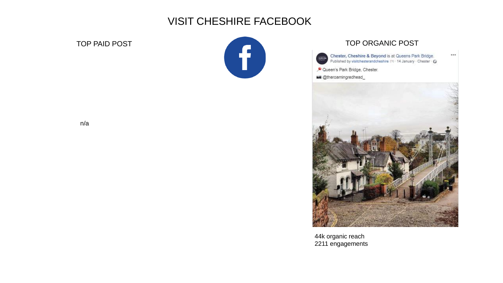### VISIT CHESHIRE FACEBOOK



Chester, Cheshire & Beyond is at Queens Park Bridge.<br>Published by visitchesterandcheshire (?) - 14 January · Chester · G

 $...$ 

- Oueen's Park Bridge, Chester.
- **Milli** @theroamingredhead



44k organic reach 2211 engagements

n/a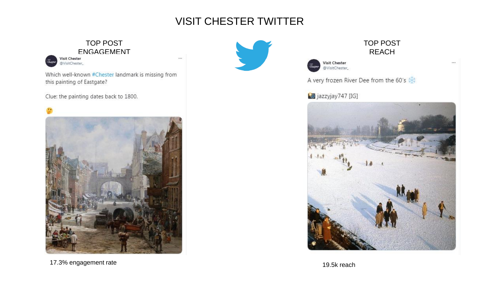## VISIT CHESTER TWITTER

### TOP POST ENGAGEMENT

@VisitChester\_

Which well-known #Chester landmark is missing from this painting of Eastgate?

Clue: the painting dates back to 1800.







#### TOP POST REACH

 $\cdots$ 

Visit Chester<br>@VisitChester\_

A very frozen River Dee from the 60's

### **io** jazzyjay747 [IG]



17.3% engagement rate and the 19.5k reach state of the 19.5k reach state and the 19.5k reach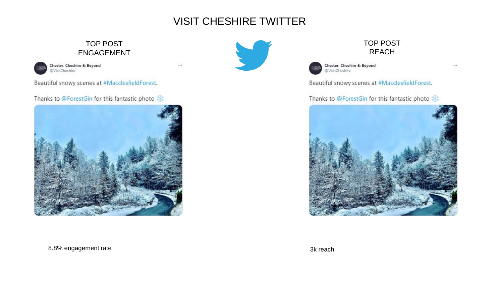### VISIT CHESHIRE TWITTER

 $...$ 

### TOP POST ENGAGEMENT



Beautiful snowy scenes at #MacclesfieldForest.

Thanks to @ForestGin for this fantastic photo 米







Chester, Cheshire & Beyond @VisitCheshire

 $...$ 

Beautiful snowy scenes at #MacclesfieldForest.

TOP POST REACH

#### Thanks to @ForestGin for this fantastic photo \*



#### 8.8% engagement rate 3k reach